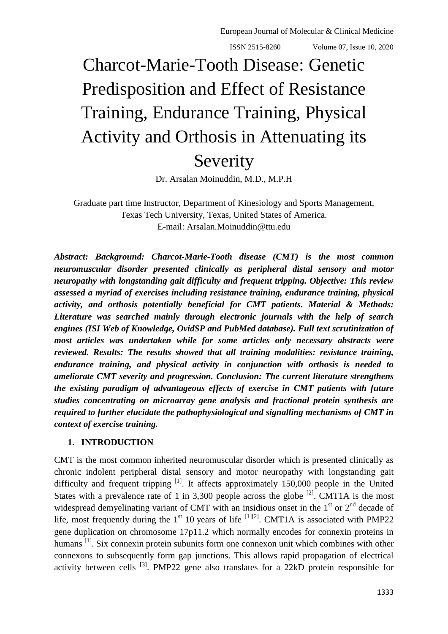ISSN 2515-8260 Volume 07, Issue 10, 2020

# Charcot-Marie-Tooth Disease: Genetic Predisposition and Effect of Resistance Training, Endurance Training, Physical Activity and Orthosis in Attenuating its Severity

Dr. Arsalan Moinuddin, M.D., M.P.H

Graduate part time Instructor, Department of Kinesiology and Sports Management, Texas Tech University, Texas, United States of America. E-mail: Arsalan.Moinuddin@ttu.edu

*Abstract: Background: Charcot-Marie-Tooth disease (CMT) is the most common neuromuscular disorder presented clinically as peripheral distal sensory and motor neuropathy with longstanding gait difficulty and frequent tripping. Objective: This review assessed a myriad of exercises including resistance training, endurance training, physical activity, and orthosis potentially beneficial for CMT patients. Material & Methods: Literature was searched mainly through electronic journals with the help of search engines (ISI Web of Knowledge, OvidSP and PubMed database). Full text scrutinization of most articles was undertaken while for some articles only necessary abstracts were reviewed. Results: The results showed that all training modalities: resistance training, endurance training, and physical activity in conjunction with orthosis is needed to ameliorate CMT severity and progression. Conclusion: The current literature strengthens the existing paradigm of advantageous effects of exercise in CMT patients with future studies concentrating on microarray gene analysis and fractional protein synthesis are required to further elucidate the pathophysiological and signalling mechanisms of CMT in context of exercise training.*

### **1. INTRODUCTION**

CMT is the most common inherited neuromuscular disorder which is presented clinically as chronic indolent peripheral distal sensory and motor neuropathy with longstanding gait difficulty and frequent tripping <sup>[1]</sup>. It affects approximately 150,000 people in the United States with a prevalence rate of 1 in 3,300 people across the globe  $^{[2]}$ . CMT1A is the most widespread demyelinating variant of CMT with an insidious onset in the  $1<sup>st</sup>$  or  $2<sup>nd</sup>$  decade of life, most frequently during the  $1<sup>st</sup> 10$  years of life <sup>[1][2]</sup>. CMT1A is associated with PMP22 gene duplication on chromosome 17p11.2 which normally encodes for connexin proteins in humans <sup>[1]</sup>. Six connexin protein subunits form one connexon unit which combines with other connexons to subsequently form gap junctions. This allows rapid propagation of electrical activity between cells  $^{[3]}$ . PMP22 gene also translates for a 22kD protein responsible for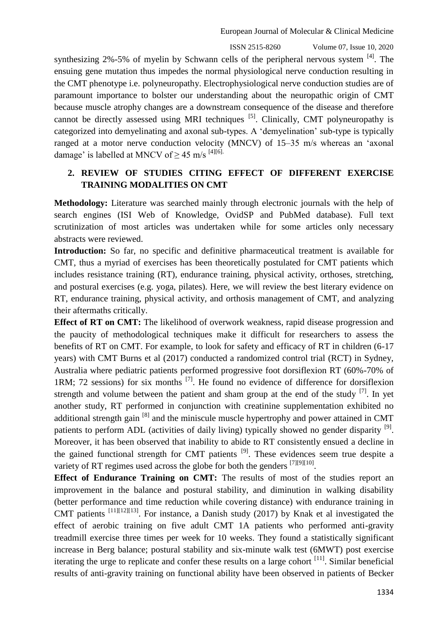ISSN 2515-8260 Volume 07, Issue 10, 2020

synthesizing 2%-5% of myelin by Schwann cells of the peripheral nervous system <sup>[4]</sup>. The ensuing gene mutation thus impedes the normal physiological nerve conduction resulting in the CMT phenotype i.e. polyneuropathy. Electrophysiological nerve conduction studies are of paramount importance to bolster our understanding about the neuropathic origin of CMT because muscle atrophy changes are a downstream consequence of the disease and therefore cannot be directly assessed using MRI techniques  $[5]$ . Clinically, CMT polyneuropathy is categorized into demyelinating and axonal sub-types. A 'demyelination' sub-type is typically ranged at a motor nerve conduction velocity (MNCV) of 15–35 m/s whereas an 'axonal damage' is labelled at MNCV of  $> 45$  m/s <sup>[4][6].</sup>

## **2. REVIEW OF STUDIES CITING EFFECT OF DIFFERENT EXERCISE TRAINING MODALITIES ON CMT**

**Methodology:** Literature was searched mainly through electronic journals with the help of search engines (ISI Web of Knowledge, OvidSP and PubMed database). Full text scrutinization of most articles was undertaken while for some articles only necessary abstracts were reviewed.

**Introduction:** So far, no specific and definitive pharmaceutical treatment is available for CMT, thus a myriad of exercises has been theoretically postulated for CMT patients which includes resistance training (RT), endurance training, physical activity, orthoses, stretching, and postural exercises (e.g. yoga, pilates). Here, we will review the best literary evidence on RT, endurance training, physical activity, and orthosis management of CMT, and analyzing their aftermaths critically.

**Effect of RT on CMT:** The likelihood of overwork weakness, rapid disease progression and the paucity of methodological techniques make it difficult for researchers to assess the benefits of RT on CMT. For example, to look for safety and efficacy of RT in children (6-17 years) with CMT Burns et al (2017) conducted a randomized control trial (RCT) in Sydney, Australia where pediatric patients performed progressive foot dorsiflexion RT (60%-70% of 1RM; 72 sessions) for six months  $^{[7]}$ . He found no evidence of difference for dorsiflexion strength and volume between the patient and sham group at the end of the study  $^{[7]}$ . In yet another study, RT performed in conjunction with creatinine supplementation exhibited no additional strength gain <sup>[8]</sup> and the miniscule muscle hypertrophy and power attained in CMT patients to perform ADL (activities of daily living) typically showed no gender disparity <sup>[9]</sup>. Moreover, it has been observed that inability to abide to RT consistently ensued a decline in the gained functional strength for CMT patients  $^{[9]}$ . These evidences seem true despite a variety of RT regimes used across the globe for both the genders  $^{[7][9][10]}$ .

**Effect of Endurance Training on CMT:** The results of most of the studies report an improvement in the balance and postural stability, and diminution in walking disability (better performance and time reduction while covering distance) with endurance training in CMT patients  $^{[11][12][13]}$ . For instance, a Danish study (2017) by Knak et al investigated the effect of aerobic training on five adult CMT 1A patients who performed anti-gravity treadmill exercise three times per week for 10 weeks. They found a statistically significant increase in Berg balance; postural stability and six-minute walk test (6MWT) post exercise iterating the urge to replicate and confer these results on a large cohort  $[11]$ . Similar beneficial results of anti-gravity training on functional ability have been observed in patients of Becker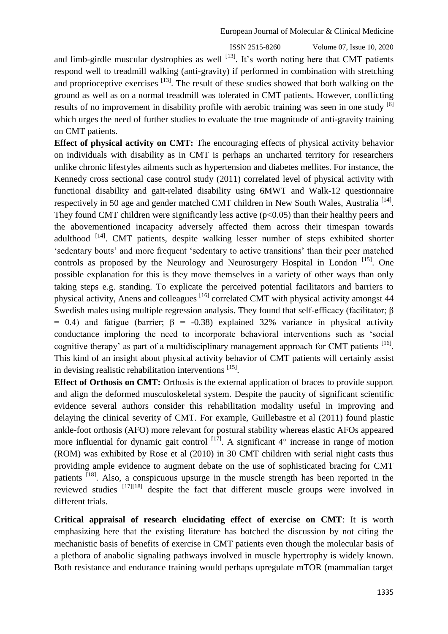ISSN 2515-8260 Volume 07, Issue 10, 2020

and limb-girdle muscular dystrophies as well  $^{[13]}$ . It's worth noting here that CMT patients respond well to treadmill walking (anti-gravity) if performed in combination with stretching and proprioceptive exercises  $\left[13\right]$ . The result of these studies showed that both walking on the ground as well as on a normal treadmill was tolerated in CMT patients. However, conflicting results of no improvement in disability profile with aerobic training was seen in one study <sup>[6]</sup> which urges the need of further studies to evaluate the true magnitude of anti-gravity training on CMT patients.

**Effect of physical activity on CMT:** The encouraging effects of physical activity behavior on individuals with disability as in CMT is perhaps an uncharted territory for researchers unlike chronic lifestyles ailments such as hypertension and diabetes mellites. For instance, the Kennedy cross sectional case control study (2011) correlated level of physical activity with functional disability and gait-related disability using 6MWT and Walk-12 questionnaire respectively in 50 age and gender matched CMT children in New South Wales, Australia<sup>[14]</sup>. They found CMT children were significantly less active  $(p<0.05)$  than their healthy peers and the abovementioned incapacity adversely affected them across their timespan towards adulthood  $[14]$ . CMT patients, despite walking lesser number of steps exhibited shorter 'sedentary bouts' and more frequent 'sedentary to active transitions' than their peer matched controls as proposed by the Neurology and Neurosurgery Hospital in London<sup>[15]</sup>. One possible explanation for this is they move themselves in a variety of other ways than only taking steps e.g. standing. To explicate the perceived potential facilitators and barriers to physical activity, Anens and colleagues <sup>[16]</sup> correlated CMT with physical activity amongst 44 Swedish males using multiple regression analysis. They found that self-efficacy (facilitator; β = 0.4) and fatigue (barrier;  $\beta$  = -0.38) explained 32% variance in physical activity conductance imploring the need to incorporate behavioral interventions such as 'social cognitive therapy' as part of a multidisciplinary management approach for CMT patients [16]. This kind of an insight about physical activity behavior of CMT patients will certainly assist in devising realistic rehabilitation interventions<sup>[15]</sup>.

**Effect of Orthosis on CMT:** Orthosis is the external application of braces to provide support and align the deformed musculoskeletal system. Despite the paucity of significant scientific evidence several authors consider this rehabilitation modality useful in improving and delaying the clinical severity of CMT. For example, Guillebastre et al (2011) found plastic ankle-foot orthosis (AFO) more relevant for postural stability whereas elastic AFOs appeared more influential for dynamic gait control  $^{[17]}$ . A significant  $4^{\circ}$  increase in range of motion (ROM) was exhibited by Rose et al (2010) in 30 CMT children with serial night casts thus providing ample evidence to augment debate on the use of sophisticated bracing for CMT patients [18]. Also, a conspicuous upsurge in the muscle strength has been reported in the reviewed studies  $[17][18]$  despite the fact that different muscle groups were involved in different trials.

**Critical appraisal of research elucidating effect of exercise on CMT**: It is worth emphasizing here that the existing literature has botched the discussion by not citing the mechanistic basis of benefits of exercise in CMT patients even though the molecular basis of a plethora of anabolic signaling pathways involved in muscle hypertrophy is widely known. Both resistance and endurance training would perhaps upregulate mTOR (mammalian target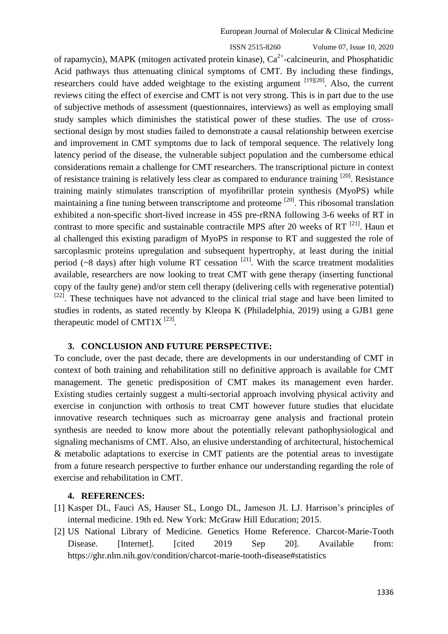ISSN 2515-8260 Volume 07, Issue 10, 2020 of rapamycin), MAPK (mitogen activated protein kinase),  $Ca<sup>2+</sup>$ -calcineurin, and Phosphatidic Acid pathways thus attenuating clinical symptoms of CMT. By including these findings, researchers could have added weightage to the existing argument  $^{[19][20]}$ . Also, the current reviews citing the effect of exercise and CMT is not very strong. This is in part due to the use of subjective methods of assessment (questionnaires, interviews) as well as employing small study samples which diminishes the statistical power of these studies. The use of crosssectional design by most studies failed to demonstrate a causal relationship between exercise and improvement in CMT symptoms due to lack of temporal sequence. The relatively long latency period of the disease, the vulnerable subject population and the cumbersome ethical considerations remain a challenge for CMT researchers. The transcriptional picture in context of resistance training is relatively less clear as compared to endurance training <sup>[20]</sup>. Resistance training mainly stimulates transcription of myofibrillar protein synthesis (MyoPS) while maintaining a fine tuning between transcriptome and proteome<sup>[20]</sup>. This ribosomal translation exhibited a non-specific short-lived increase in 45S pre-rRNA following 3-6 weeks of RT in contrast to more specific and sustainable contractile MPS after 20 weeks of RT<sup>[21]</sup>. Haun et al challenged this existing paradigm of MyoPS in response to RT and suggested the role of sarcoplasmic proteins upregulation and subsequent hypertrophy, at least during the initial period ( $\sim$ 8 days) after high volume RT cessation  $^{[21]}$ . With the scarce treatment modalities available, researchers are now looking to treat CMT with gene therapy (inserting functional copy of the faulty gene) and/or stem cell therapy (delivering cells with regenerative potential)  $[22]$ . These techniques have not advanced to the clinical trial stage and have been limited to studies in rodents, as stated recently by Kleopa K (Philadelphia, 2019) using a GJB1 gene therapeutic model of CMT1X<sup>[23]</sup>.

#### **3. CONCLUSION AND FUTURE PERSPECTIVE:**

To conclude, over the past decade, there are developments in our understanding of CMT in context of both training and rehabilitation still no definitive approach is available for CMT management. The genetic predisposition of CMT makes its management even harder. Existing studies certainly suggest a multi-sectorial approach involving physical activity and exercise in conjunction with orthosis to treat CMT however future studies that elucidate innovative research techniques such as microarray gene analysis and fractional protein synthesis are needed to know more about the potentially relevant pathophysiological and signaling mechanisms of CMT. Also, an elusive understanding of architectural, histochemical & metabolic adaptations to exercise in CMT patients are the potential areas to investigate from a future research perspective to further enhance our understanding regarding the role of exercise and rehabilitation in CMT.

#### **4. REFERENCES:**

- [1] Kasper DL, Fauci AS, Hauser SL, Longo DL, Jameson JL LJ. Harrison's principles of internal medicine. 19th ed. New York: McGraw Hill Education; 2015.
- [2] US National Library of Medicine. Genetics Home Reference. Charcot-Marie-Tooth Disease. [Internet]. [cited 2019 Sep 20]. Available from: <https://ghr.nlm.nih.gov/condition/charcot-marie-tooth-disease#statistics>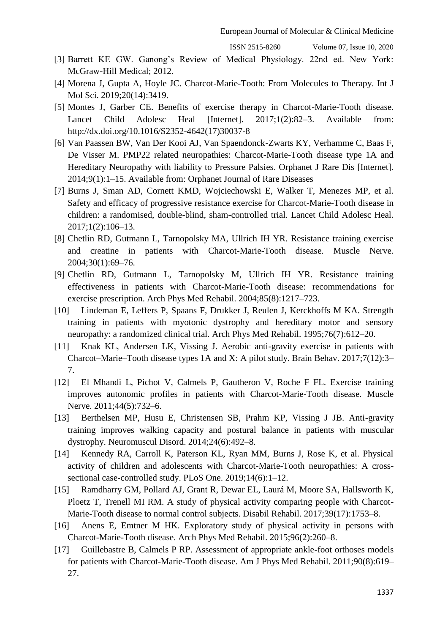ISSN 2515-8260 Volume 07, Issue 10, 2020

- [3] Barrett KE GW. Ganong's Review of Medical Physiology. 22nd ed. New York: McGraw-Hill Medical; 2012.
- [4] Morena J, Gupta A, Hoyle JC. Charcot-Marie-Tooth: From Molecules to Therapy. Int J Mol Sci. 2019;20(14):3419.
- [5] Montes J, Garber CE. Benefits of exercise therapy in Charcot-Marie-Tooth disease. Lancet Child Adolesc Heal [Internet]. 2017;1(2):82–3. Available from: http://dx.doi.org/10.1016/S2352-4642(17)30037-8
- [6] Van Paassen BW, Van Der Kooi AJ, Van Spaendonck-Zwarts KY, Verhamme C, Baas F, De Visser M. PMP22 related neuropathies: Charcot-Marie-Tooth disease type 1A and Hereditary Neuropathy with liability to Pressure Palsies. Orphanet J Rare Dis [Internet]. 2014;9(1):1–15. Available from: Orphanet Journal of Rare Diseases
- [7] Burns J, Sman AD, Cornett KMD, Wojciechowski E, Walker T, Menezes MP, et al. Safety and efficacy of progressive resistance exercise for Charcot-Marie-Tooth disease in children: a randomised, double-blind, sham-controlled trial. Lancet Child Adolesc Heal. 2017;1(2):106–13.
- [8] Chetlin RD, Gutmann L, Tarnopolsky MA, Ullrich IH YR. Resistance training exercise and creatine in patients with Charcot-Marie-Tooth disease. Muscle Nerve. 2004;30(1):69–76.
- [9] Chetlin RD, Gutmann L, Tarnopolsky M, Ullrich IH YR. Resistance training effectiveness in patients with Charcot-Marie-Tooth disease: recommendations for exercise prescription. Arch Phys Med Rehabil. 2004;85(8):1217–723.
- [10] Lindeman E, Leffers P, Spaans F, Drukker J, Reulen J, Kerckhoffs M KA. Strength training in patients with myotonic dystrophy and hereditary motor and sensory neuropathy: a randomized clinical trial. Arch Phys Med Rehabil. 1995;76(7):612–20.
- [11] Knak KL, Andersen LK, Vissing J. Aerobic anti-gravity exercise in patients with Charcot–Marie–Tooth disease types 1A and X: A pilot study. Brain Behav. 2017;7(12):3– 7.
- [12] El Mhandi L, Pichot V, Calmels P, Gautheron V, Roche F FL. Exercise training improves autonomic profiles in patients with Charcot-Marie-Tooth disease. Muscle Nerve. 2011;44(5):732–6.
- [13] Berthelsen MP, Husu E, Christensen SB, Prahm KP, Vissing J JB. Anti-gravity training improves walking capacity and postural balance in patients with muscular dystrophy. Neuromuscul Disord. 2014;24(6):492–8.
- [14] Kennedy RA, Carroll K, Paterson KL, Ryan MM, Burns J, Rose K, et al. Physical activity of children and adolescents with Charcot-Marie-Tooth neuropathies: A crosssectional case-controlled study. PLoS One. 2019;14(6):1–12.
- [15] Ramdharry GM, Pollard AJ, Grant R, Dewar EL, Laurá M, Moore SA, Hallsworth K, Ploetz T, Trenell MI RM. A study of physical activity comparing people with Charcot-Marie-Tooth disease to normal control subjects. Disabil Rehabil. 2017;39(17):1753–8.
- [16] Anens E, Emtner M HK. Exploratory study of physical activity in persons with Charcot-Marie-Tooth disease. Arch Phys Med Rehabil. 2015;96(2):260–8.
- [17] Guillebastre B, Calmels P RP. Assessment of appropriate ankle-foot orthoses models for patients with Charcot-Marie-Tooth disease. Am J Phys Med Rehabil. 2011;90(8):619– 27.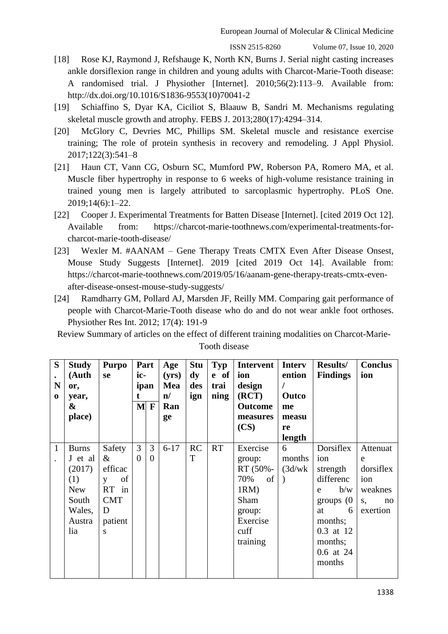ISSN 2515-8260 Volume 07, Issue 10, 2020

- [18] Rose KJ, Raymond J, Refshauge K, North KN, Burns J. Serial night casting increases ankle dorsiflexion range in children and young adults with Charcot-Marie-Tooth disease: A randomised trial. J Physiother [Internet]. 2010;56(2):113–9. Available from: [http://dx.doi.org/10.1016/S1836-9553\(10\)70041-2](http://dx.doi.org/10.1016/S1836-9553(10)70041-2)
- [19] Schiaffino S, Dyar KA, Ciciliot S, Blaauw B, Sandri M. Mechanisms regulating skeletal muscle growth and atrophy. FEBS J. 2013;280(17):4294–314.
- [20] McGlory C, Devries MC, Phillips SM. Skeletal muscle and resistance exercise training; The role of protein synthesis in recovery and remodeling. J Appl Physiol. 2017;122(3):541–8
- [21] Haun CT, Vann CG, Osburn SC, Mumford PW, Roberson PA, Romero MA, et al. Muscle fiber hypertrophy in response to 6 weeks of high-volume resistance training in trained young men is largely attributed to sarcoplasmic hypertrophy. PLoS One. 2019;14(6):1–22.
- [22] Cooper J. Experimental Treatments for Batten Disease [Internet]. [cited 2019 Oct 12]. Available from: https://charcot-marie-toothnews.com/experimental-treatments-forcharcot-marie-tooth-disease/
- [23] Wexler M. #AANAM Gene Therapy Treats CMTX Even After Disease Onsest, Mouse Study Suggests [Internet]. 2019 [cited 2019 Oct 14]. Available from: [https://charcot-marie-toothnews.com/2019/05/16/aanam-gene-therapy-treats-cmtx-even](https://charcot-marie-toothnews.com/2019/05/16/aanam-gene-therapy-treats-cmtx-even-after-disease-onsest-mouse-study-suggests/)[after-disease-onsest-mouse-study-suggests/](https://charcot-marie-toothnews.com/2019/05/16/aanam-gene-therapy-treats-cmtx-even-after-disease-onsest-mouse-study-suggests/)
- [24] [Ramdharry GM,](https://www.ncbi.nlm.nih.gov/pubmed/?term=Ramdharry%20GM%5BAuthor%5D&cauthor=true&cauthor_uid=22228620) [Pollard AJ,](https://www.ncbi.nlm.nih.gov/pubmed/?term=Pollard%20AJ%5BAuthor%5D&cauthor=true&cauthor_uid=22228620) [Marsden JF,](https://www.ncbi.nlm.nih.gov/pubmed/?term=Marsden%20JF%5BAuthor%5D&cauthor=true&cauthor_uid=22228620) [Reilly MM.](https://www.ncbi.nlm.nih.gov/pubmed/?term=Reilly%20MM%5BAuthor%5D&cauthor=true&cauthor_uid=22228620) Comparing gait performance of people with Charcot-Marie-Tooth disease who do and do not wear ankle foot orthoses. [Physiother Res Int.](https://www.ncbi.nlm.nih.gov/pubmed/22228620) 2012; 17(4): 191-9

Review Summary of articles on the effect of different training modalities on Charcot-Marie-

| S<br>$\bullet$<br>N<br>$\bf{0}$ | <b>Study</b><br>(Auth<br>or,<br>year,<br>&<br>place)                                       | <b>Purpo</b><br>se                                                               | ic-<br>t.     | Part<br>ipan<br>$M$ F | Age<br>(yrs)<br>Mea<br>$\mathbf{n}/$<br>Ran<br>ge | <b>Stu</b><br>$\mathbf{dy}$<br>des<br>ign | Typ<br>e of<br>trai<br>ning | Intervent<br>ion<br>design<br>(RCT)<br><b>Outcome</b><br>measures<br>(CS)                                | <b>Interv</b><br>ention<br>Outco<br>me<br>measu<br>re<br>length | <b>Results/</b><br><b>Findings</b>                                                                                                         | <b>Conclus</b><br>ion                                                |
|---------------------------------|--------------------------------------------------------------------------------------------|----------------------------------------------------------------------------------|---------------|-----------------------|---------------------------------------------------|-------------------------------------------|-----------------------------|----------------------------------------------------------------------------------------------------------|-----------------------------------------------------------------|--------------------------------------------------------------------------------------------------------------------------------------------|----------------------------------------------------------------------|
| $\mathbf{1}$                    | <b>Burns</b><br>J et al<br>(2017)<br>(1)<br><b>New</b><br>South<br>Wales,<br>Austra<br>lia | Safety<br>$\&$<br>efficac<br>of<br>y<br>RT in<br><b>CMT</b><br>D<br>patient<br>S | 3<br>$\theta$ | 3<br>$\theta$         | $6 - 17$                                          | RC<br>T                                   | RT                          | Exercise<br>group:<br>RT (50%-<br>70%<br>of<br>$1RM$ )<br>Sham<br>group:<br>Exercise<br>cuff<br>training | 6<br>months<br>(3d/wk)                                          | Dorsiflex<br>ion<br>strength<br>differenc<br>b/w<br>e<br>groups $(0)$<br>6<br>at<br>months;<br>0.3 at 12<br>months;<br>0.6 at 24<br>months | Attenuat<br>e<br>dorsiflex<br>ion<br>weaknes<br>S,<br>no<br>exertion |

Tooth disease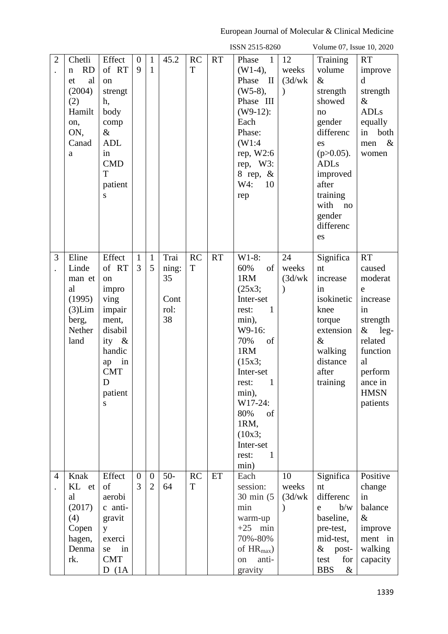|                                        |                                                                                                       |                                                                                                                                        |                       |                                  |                                           |                |           | ISSN 2515-8260                                                                                                                                                                                                                                                       |                                         | Volume 07, Issue 10, 2020                                                                                                                                                                      |                                                                                                                                                                   |
|----------------------------------------|-------------------------------------------------------------------------------------------------------|----------------------------------------------------------------------------------------------------------------------------------------|-----------------------|----------------------------------|-------------------------------------------|----------------|-----------|----------------------------------------------------------------------------------------------------------------------------------------------------------------------------------------------------------------------------------------------------------------------|-----------------------------------------|------------------------------------------------------------------------------------------------------------------------------------------------------------------------------------------------|-------------------------------------------------------------------------------------------------------------------------------------------------------------------|
| $\overline{2}$                         | Chetli<br><b>RD</b><br>$\mathbf n$<br>al<br>et<br>(2004)<br>(2)<br>Hamilt<br>on,<br>ON,<br>Canad<br>a | Effect<br>of RT<br>on<br>strengt<br>h,<br>body<br>comp<br>$\&$<br><b>ADL</b><br>in<br><b>CMD</b><br>T<br>patient<br>S                  | $\mathbf{0}$<br>9     | $\mathbf{1}$<br>$\mathbf{1}$     | 45.2                                      | <b>RC</b><br>T | <b>RT</b> | Phase<br>$\overline{1}$<br>$(W1-4)$ ,<br>Phase<br>$\mathbf{I}$<br>$(W5-8),$<br>Phase III<br>$(W9-12)$ :<br>Each<br>Phase:<br>(W1:4)<br>rep, $W2:6$<br>rep, W3:<br>8 rep, $\&$<br>W4:<br>10<br>rep                                                                    | 12<br>weeks<br>(3d/wk)<br>$\mathcal{E}$ | Training<br>volume<br>$\&$<br>strength<br>showed<br>no<br>gender<br>differenc<br>es<br>$(p>0.05)$ .<br><b>ADLs</b><br>improved<br>after<br>training<br>with<br>no<br>gender<br>differenc<br>es | <b>RT</b><br>improve<br>$\mathbf d$<br>strength<br>$\&$<br><b>ADLs</b><br>equally<br>both<br>in<br>$\&$<br>men<br>women                                           |
| 3<br>$\bullet$                         | Eline<br>Linde<br>man et<br>al<br>(1995)<br>$(3)$ Lim<br>berg,<br>Nether<br>land                      | Effect<br>of RT<br>on<br>impro<br>ving<br>impair<br>ment,<br>disabil<br>ity &<br>handic<br>in<br>ap<br><b>CMT</b><br>D<br>patient<br>S | $\mathbf{1}$<br>3     | $\mathbf{1}$<br>5                | Trai<br>ning:<br>35<br>Cont<br>rol:<br>38 | <b>RC</b><br>T | <b>RT</b> | $W1-8$ :<br>60%<br>of<br>1RM<br>(25x3;<br>Inter-set<br>$\mathbf{1}$<br>rest:<br>min),<br>W9-16:<br>70%<br>of<br>1RM<br>(15x3;<br>Inter-set<br>$\mathbf{1}$<br>rest:<br>min),<br>W17-24:<br>80%<br>of<br>1RM,<br>(10x3;<br>Inter-set<br>$\mathbf{1}$<br>rest:<br>min) | 24<br>weeks<br>(3d/wk)<br>$\mathcal{E}$ | Significa<br>nt<br>increase<br>in<br>isokinetic<br>knee<br>torque<br>extension<br>$\&$<br>walking<br>distance<br>after<br>training                                                             | <b>RT</b><br>caused<br>moderat<br>e<br>increase<br>in<br>strength<br>$\&$<br>$leg-$<br>related<br>function<br>al<br>perform<br>ance in<br><b>HMSN</b><br>patients |
| $\overline{4}$<br>$\ddot{\phantom{0}}$ | Knak<br>KL et<br>al<br>(2017)<br>(4)<br>Copen<br>hagen,<br>Denma<br>rk.                               | Effect<br>of<br>aerobi<br>c anti-<br>gravit<br>y<br>exerci<br>in<br>se<br><b>CMT</b><br>D(1A)                                          | $\boldsymbol{0}$<br>3 | $\overline{0}$<br>$\overline{2}$ | $50-$<br>64                               | <b>RC</b><br>T | ET        | Each<br>session:<br>$30 \text{ min}$ (5)<br>min<br>warm-up<br>$+25$ min<br>70%-80%<br>of $HR_{max}$ )<br>anti-<br>on<br>gravity                                                                                                                                      | 10<br>weeks<br>(3d/wk)<br>$\mathcal{E}$ | Significa<br>nt<br>differenc<br>b/w<br>e<br>baseline,<br>pre-test,<br>mid-test,<br>$&$ post-<br>for<br>test<br><b>BBS</b><br>$\&$                                                              | Positive<br>change<br>in<br>balance<br>$\&$<br>improve<br>ment in<br>walking<br>capacity                                                                          |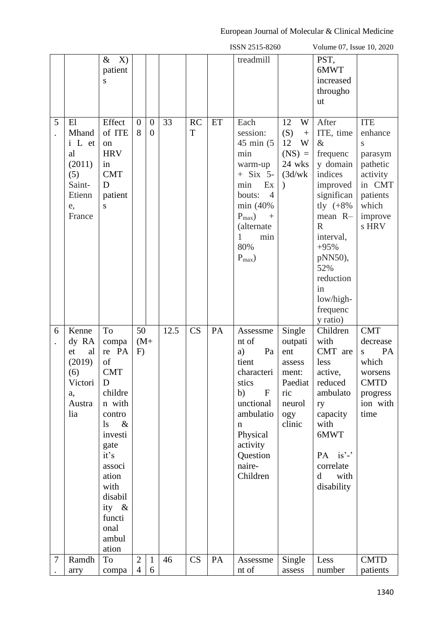|   |                                                                                  |                                                                                                                                                                                                                |                                  |                                    |      |                |    | ISSN 2515-8260                                                                                                                                                                                                |                                                                                             | Volume 07, Issue 10, 2020                                                                                                                                                                                                         |                                                                                                                  |
|---|----------------------------------------------------------------------------------|----------------------------------------------------------------------------------------------------------------------------------------------------------------------------------------------------------------|----------------------------------|------------------------------------|------|----------------|----|---------------------------------------------------------------------------------------------------------------------------------------------------------------------------------------------------------------|---------------------------------------------------------------------------------------------|-----------------------------------------------------------------------------------------------------------------------------------------------------------------------------------------------------------------------------------|------------------------------------------------------------------------------------------------------------------|
|   |                                                                                  | X)<br>$\&$<br>patient<br>S                                                                                                                                                                                     |                                  |                                    |      |                |    | treadmill                                                                                                                                                                                                     |                                                                                             | PST,<br>6MWT<br>increased<br>througho<br>ut                                                                                                                                                                                       |                                                                                                                  |
| 5 | E1<br>Mhand<br>i L et<br>al<br>(2011)<br>(5)<br>Saint-<br>Etienn<br>e,<br>France | Effect<br>of ITE<br>on<br><b>HRV</b><br>in<br><b>CMT</b><br>D<br>patient<br>S                                                                                                                                  | $\overline{0}$<br>8              | $\boldsymbol{0}$<br>$\overline{0}$ | 33   | <b>RC</b><br>T | ET | Each<br>session:<br>$45 \text{ min}$ (5)<br>min<br>warm-up<br>$+$ Six 5-<br>Ex<br>min<br>$\overline{4}$<br>bouts:<br>min (40%<br>$P_{\text{max}}$ )<br>$^{+}$<br>(alternate<br>1<br>min<br>80%<br>$P_{max}$ ) | 12<br>W<br>(S)<br>$\boldsymbol{+}$<br>12<br>W<br>$(NS) =$<br>24 wks<br>(3d/wk)<br>$\lambda$ | After<br>ITE, time<br>$\&$<br>frequenc<br>y domain<br>indices<br>improved<br>significan<br>tly $(+8\%$<br>mean R-<br>$\mathbf R$<br>interval,<br>$+95%$<br>pNN50),<br>52%<br>reduction<br>in<br>low/high-<br>frequenc<br>y ratio) | <b>ITE</b><br>enhance<br>S<br>parasym<br>pathetic<br>activity<br>in CMT<br>patients<br>which<br>improve<br>s HRV |
| 6 | Kenne<br>dy RA<br>al<br>et<br>(2019)<br>(6)<br>Victori<br>a,<br>Austra<br>lia    | To<br>compa<br>re PA<br>of<br><b>CMT</b><br>D<br>childre<br>n with<br>contro<br>$\&$<br>$\lg$<br>investi<br>gate<br>it's<br>associ<br>ation<br>with<br>disabil<br>ity $\&$<br>functi<br>onal<br>ambul<br>ation | 50<br>$(M+$<br>F)                |                                    | 12.5 | CS             | PA | Assessme<br>nt of<br>a)<br>Pa<br>tient<br>characteri<br>stics<br>b)<br>${\bf F}$<br>unctional<br>ambulatio<br>n<br>Physical<br>activity<br>Question<br>naire-<br>Children                                     | Single<br>outpati<br>ent<br>assess<br>ment:<br>Paediat<br>ric<br>neurol<br>ogy<br>clinic    | Children<br>with<br>CMT are<br>less<br>active,<br>reduced<br>ambulato<br>ry<br>capacity<br>with<br>6MWT<br>PA is'-'<br>correlate<br>$\mathbf d$<br>with<br>disability                                                             | <b>CMT</b><br>decrease<br>PA<br>S<br>which<br>worsens<br><b>CMTD</b><br>progress<br>ion with<br>time             |
| 7 | Ramdh<br>arry                                                                    | To<br>compa                                                                                                                                                                                                    | $\overline{2}$<br>$\overline{4}$ | $\mathbf{1}$<br>6                  | 46   | CS             | PA | Assessme<br>nt of                                                                                                                                                                                             | Single<br>assess                                                                            | Less<br>number                                                                                                                                                                                                                    | <b>CMTD</b><br>patients                                                                                          |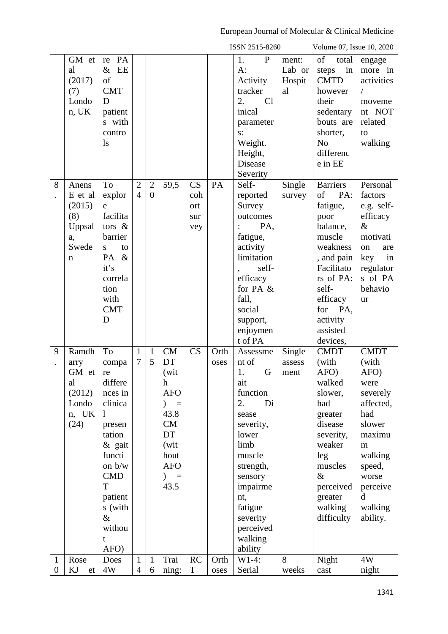|                |          |              |                |                |               |             |      | ISSN 2515-8260  |        | Volume 07, Issue 10, 2020 |             |
|----------------|----------|--------------|----------------|----------------|---------------|-------------|------|-----------------|--------|---------------------------|-------------|
|                | GM et    | PA<br>re     |                |                |               |             |      | ${\bf P}$<br>1. | ment:  | of<br>total               | engage      |
|                | al       | EE<br>$\&$   |                |                |               |             |      | $A$ :           | Lab or | in<br>steps               | more in     |
|                | (2017)   | of           |                |                |               |             |      | Activity        | Hospit | <b>CMTD</b>               | activities  |
|                | (7)      | <b>CMT</b>   |                |                |               |             |      | tracker         | al     | however                   | $\sqrt{2}$  |
|                | Londo    | D            |                |                |               |             |      | Cl<br>2.        |        | their                     | moveme      |
|                | $n$ , UK | patient      |                |                |               |             |      | inical          |        | sedentary                 | nt NOT      |
|                |          | s with       |                |                |               |             |      | parameter       |        | bouts are                 | related     |
|                |          | contro       |                |                |               |             |      | $s$ :           |        | shorter,                  | to          |
|                |          | $\log$       |                |                |               |             |      | Weight.         |        | N <sub>o</sub>            | walking     |
|                |          |              |                |                |               |             |      | Height,         |        | differenc                 |             |
|                |          |              |                |                |               |             |      | Disease         |        | e in EE                   |             |
|                |          |              |                |                |               |             |      | Severity        |        |                           |             |
| 8              | Anens    | To           | $\overline{2}$ | $\overline{2}$ | 59,5          | CS          | PA   | Self-           | Single | <b>Barriers</b>           | Personal    |
|                | E et al  | explor       | $\overline{4}$ | $\overline{0}$ |               | coh         |      | reported        | survey | of<br>PA:                 | factors     |
|                | (2015)   | e            |                |                |               | ort         |      | Survey          |        | fatigue,                  | e.g. self-  |
|                | (8)      | facilita     |                |                |               | sur         |      | outcomes        |        | poor                      | efficacy    |
|                | Uppsal   | tors $\&$    |                |                |               | vey         |      | PA,             |        | balance,                  | $\&$        |
|                | a,       | barrier      |                |                |               |             |      | fatigue,        |        | muscle                    | motivati    |
|                | Swede    | to<br>S      |                |                |               |             |      | activity        |        | weakness                  | on<br>are   |
|                | n        | $\&$<br>PA   |                |                |               |             |      | limitation      |        | , and pain                | key<br>in   |
|                |          | it's         |                |                |               |             |      | self-           |        | Facilitato                | regulator   |
|                |          | correla      |                |                |               |             |      | efficacy        |        | rs of PA:                 | s of PA     |
|                |          | tion         |                |                |               |             |      | for PA $&$      |        | self-                     | behavio     |
|                |          | with         |                |                |               |             |      | fall,           |        | efficacy                  | ur          |
|                |          | <b>CMT</b>   |                |                |               |             |      | social          |        | PA,<br>for                |             |
|                |          | D            |                |                |               |             |      | support,        |        | activity                  |             |
|                |          |              |                |                |               |             |      | enjoymen        |        | assisted                  |             |
|                |          |              |                |                |               |             |      | t of PA         |        | devices,                  |             |
| 9              | Ramdh    | To           | $\mathbf{1}$   | $\mathbf{1}$   | <b>CM</b>     | CS          | Orth | Assessme        | Single | <b>CMDT</b>               | <b>CMDT</b> |
|                | arry     | compa        | 7              | 5              | DT            |             | oses | nt of           | assess | (with                     | (with       |
|                | GM et    | re           |                |                | (wit          |             |      | 1.<br>G         | ment   | AFO)                      | AFO)        |
|                | al       | differe      |                |                | $\mathbf h$   |             |      | ait             |        | walked                    | were        |
|                | (2012)   | nces in      |                |                | <b>AFO</b>    |             |      | function        |        | slower,                   | severely    |
|                | Londo    | clinica      |                |                | ∖<br>$\equiv$ |             |      | 2.<br>Di        |        | had                       | affected,   |
|                | n, UK    | $\mathbf{1}$ |                |                | 43.8          |             |      | sease           |        | greater                   | had         |
|                | (24)     | presen       |                |                | CM            |             |      | severity,       |        | disease                   | slower      |
|                |          | tation       |                |                | DT            |             |      | lower           |        | severity,                 | maximu      |
|                |          | & gait       |                |                | (wit          |             |      | limb            |        | weaker                    | m           |
|                |          | functi       |                |                | hout          |             |      | muscle          |        | leg                       | walking     |
|                |          | on b/w       |                |                | <b>AFO</b>    |             |      | strength,       |        | muscles                   | speed,      |
|                |          | <b>CMD</b>   |                |                | $) =$         |             |      | sensory         |        | $\&$                      | worse       |
|                |          | T            |                |                | 43.5          |             |      | impairme        |        | perceived                 | perceive    |
|                |          | patient      |                |                |               |             |      | nt,             |        | greater                   | d           |
|                |          | s (with      |                |                |               |             |      | fatigue         |        | walking                   | walking     |
|                |          | $\&$         |                |                |               |             |      | severity        |        | difficulty                | ability.    |
|                |          | withou       |                |                |               |             |      | perceived       |        |                           |             |
|                |          | t            |                |                |               |             |      | walking         |        |                           |             |
|                |          | AFO)         |                |                |               |             |      | ability         |        |                           |             |
| $\mathbf{1}$   | Rose     | Does         | $\mathbf{1}$   | $\mathbf{1}$   | Trai          | RC          | Orth | $W1-4:$         | 8      | Night                     | 4W          |
| $\overline{0}$ | KJ<br>et | 4W           | $\overline{4}$ | 6              | ning:         | $\mathbf T$ | oses | Serial          | weeks  | cast                      | night       |